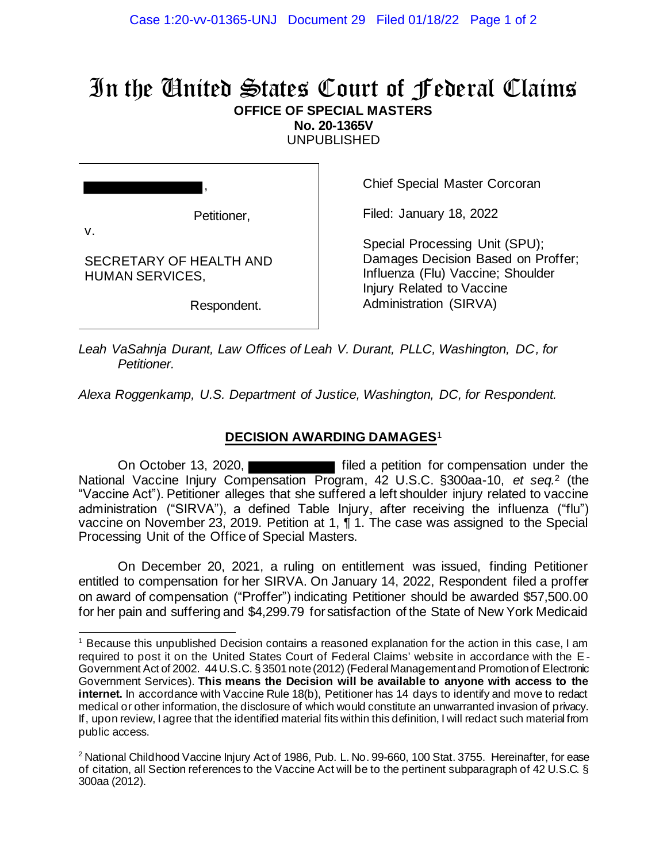## In the United States Court of Federal Claims **OFFICE OF SPECIAL MASTERS**

**No. 20-1365V**

UNPUBLISHED

v.

Petitioner,

,

SECRETARY OF HEALTH AND HUMAN SERVICES,

Respondent.

Chief Special Master Corcoran

Filed: January 18, 2022

Special Processing Unit (SPU); Damages Decision Based on Proffer; Influenza (Flu) Vaccine; Shoulder Injury Related to Vaccine Administration (SIRVA)

*Leah VaSahnja Durant, Law Offices of Leah V. Durant, PLLC, Washington, DC, for Petitioner.*

*Alexa Roggenkamp, U.S. Department of Justice, Washington, DC, for Respondent.*

## **DECISION AWARDING DAMAGES**<sup>1</sup>

On October 13, 2020, **Filted a petition for compensation under the** National Vaccine Injury Compensation Program, 42 U.S.C. §300aa-10, *et seq.*<sup>2</sup> (the "Vaccine Act"). Petitioner alleges that she suffered a left shoulder injury related to vaccine administration ("SIRVA"), a defined Table Injury, after receiving the influenza ("flu") vaccine on November 23, 2019. Petition at 1, ¶ 1. The case was assigned to the Special Processing Unit of the Office of Special Masters.

On December 20, 2021, a ruling on entitlement was issued, finding Petitioner entitled to compensation for her SIRVA. On January 14, 2022, Respondent filed a proffer on award of compensation ("Proffer") indicating Petitioner should be awarded \$57,500.00 for her pain and suffering and \$4,299.79 for satisfaction of the State of New York Medicaid

<sup>1</sup> Because this unpublished Decision contains a reasoned explanation for the action in this case, I am required to post it on the United States Court of Federal Claims' website in accordance with the E-Government Act of 2002. 44 U.S.C. § 3501 note (2012) (Federal Management and Promotion of Electronic Government Services). **This means the Decision will be available to anyone with access to the internet.** In accordance with Vaccine Rule 18(b), Petitioner has 14 days to identify and move to redact medical or other information, the disclosure of which would constitute an unwarranted invasion of privacy. If, upon review, I agree that the identified material fits within this definition, I will redact such material from public access.

<sup>&</sup>lt;sup>2</sup> National Childhood Vaccine Injury Act of 1986, Pub. L. No. 99-660, 100 Stat. 3755. Hereinafter, for ease of citation, all Section references to the Vaccine Act will be to the pertinent subparagraph of 42 U.S.C. § 300aa (2012).